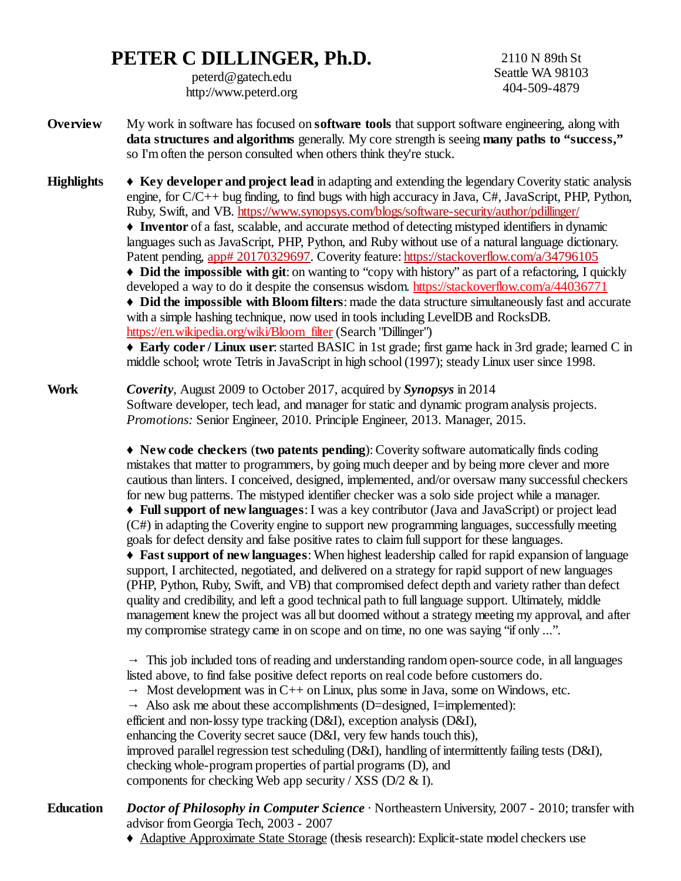## **PETER C DILLINGER, Ph.D.**

peterd@gatech.edu http://www.peterd.org

2110 N 89th St Seattle WA 98103 404-509-4879

**Overview** My work in software has focused on **software tools** that support software engineering, along with **data structures and algorithms** generally. My core strength is seeing **many paths to "success,"** so I'm often the person consulted when others think they're stuck.

**Highlights** ♦ **Key developer and project lead** in adapting and extending the legendary Coverity static analysis engine, for C/C++ bug finding, to find bugs with high accuracy in Java, C#, JavaScript, PHP, Python, Ruby, Swift, and VB. <https://www.synopsys.com/blogs/software-security/author/pdillinger/> ♦ **Inventor** of a fast, scalable, and accurate method of detecting mistyped identifiers in dynamic languages such as JavaScript, PHP, Python, and Ruby without use of a natural language dictionary. Patent pending, [app# 20170329697](https://patents.google.com/patent/US20170329697A1/en). Coverity feature: <https://stackoverflow.com/a/34796105> ♦ **Did the impossible with git**: on wanting to "copy with history" as part of a refactoring, I quickly developed a way to do it despite the consensus wisdom.<https://stackoverflow.com/a/44036771> ♦ **Did the impossible with Bloom filters**: made the data structure simultaneously fast and accurate with a simple hashing technique, now used in tools including LevelDB and RocksDB. [https://en.wikipedia.org/wiki/Bloom\\_filter](https://en.wikipedia.org/wiki/Bloom_filter) (Search "Dillinger") ♦ **Early coder / Linux user**: started BASIC in 1st grade; first game hack in 3rd grade; learned C in middle school; wrote Tetris in JavaScript in high school (1997); steady Linux user since 1998.

**Work** *Coverity*, August 2009 to October 2017, acquired by *Synopsys* in 2014 Software developer, tech lead, and manager for static and dynamic program analysis projects. *Promotions:* Senior Engineer, 2010. Principle Engineer, 2013. Manager, 2015.

> ♦ **New code checkers** (**two patents pending**): Coverity software automatically finds coding mistakes that matter to programmers, by going much deeper and by being more clever and more cautious than linters. I conceived, designed, implemented, and/or oversaw many successful checkers for new bug patterns. The mistyped identifier checker was a solo side project while a manager.

♦ **Full support of new languages**: I was a key contributor (Java and JavaScript) or project lead (C#) in adapting the Coverity engine to support new programming languages, successfully meeting goals for defect density and false positive rates to claim full support for these languages.

♦ **Fast support of new languages**: When highest leadership called for rapid expansion of language support, I architected, negotiated, and delivered on a strategy for rapid support of new languages (PHP, Python, Ruby, Swift, and VB) that compromised defect depth and variety rather than defect quality and credibility, and left a good technical path to full language support. Ultimately, middle management knew the project was all but doomed without a strategy meeting my approval, and after my compromise strategy came in on scope and on time, no one was saying "if only ...".

 $\rightarrow$  This job included tons of reading and understanding random open-source code, in all languages listed above, to find false positive defect reports on real code before customers do.

 $\rightarrow$  Most development was in C++ on Linux, plus some in Java, some on Windows, etc.

 $\rightarrow$  Also ask me about these accomplishments (D=designed, I=implemented):

efficient and non-lossy type tracking (D&I), exception analysis (D&I),

enhancing the Coverity secret sauce (D&I, very few hands touch this),

improved parallel regression test scheduling (D&I), handling of intermittently failing tests (D&I),

checking whole-program properties of partial programs (D), and

components for checking Web app security / XSS (D/2 & I).

**Education** *Doctor of Philosophy in Computer Science* · Northeastern University, 2007 - 2010; transfer with advisor from Georgia Tech, 2003 - 2007

♦ Adaptive Approximate State Storage (thesis research): Explicit-state model checkers use